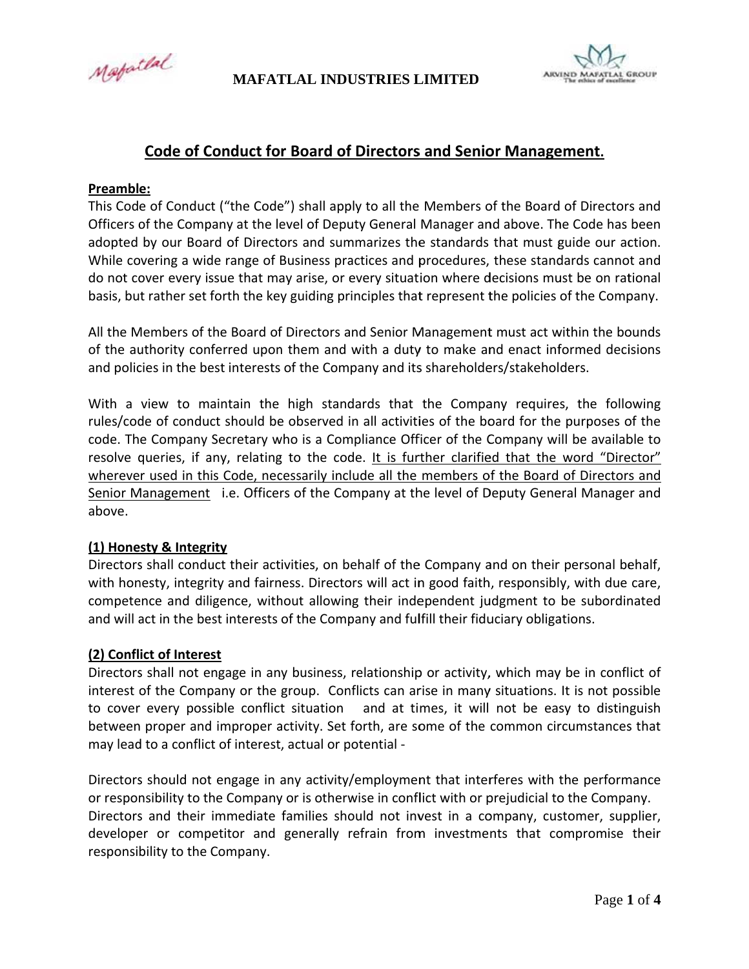Mapatlal



# **Code of Conduct for Board of Directors and Senior Management.**

### Preamble:

This Code of Conduct ("the Code") shall apply to all the Members of the Board of Directors and Officers of the Company at the level of Deputy General Manager and above. The Code has been adopted by our Board of Directors and summarizes the standards that must guide our action. While covering a wide range of Business practices and procedures, these standards cannot and do not cover every issue that may arise, or every situation where decisions must be on rational basis, but rather set forth the key guiding principles that represent the policies of the Company.

All the Members of the Board of Directors and Senior Management must act within the bounds of the authority conferred upon them and with a duty to make and enact informed decisions and policies in the best interests of the Company and its shareholders/stakeholders.

With a view to maintain the high standards that the Company requires, the following rules/code of conduct should be observed in all activities of the board for the purposes of the code. The Company Secretary who is a Compliance Officer of the Company will be available to resolve queries, if any, relating to the code. It is further clarified that the word "Director" wherever used in this Code, necessarily include all the members of the Board of Directors and Senior Management i.e. Officers of the Company at the level of Deputy General Manager and above.

# (1) Honesty & Integrity

Directors shall conduct their activities, on behalf of the Company and on their personal behalf, with honesty, integrity and fairness. Directors will act in good faith, responsibly, with due care, competence and diligence, without allowing their independent judgment to be subordinated and will act in the best interests of the Company and fulfill their fiduciary obligations.

# (2) Conflict of Interest

Directors shall not engage in any business, relationship or activity, which may be in conflict of interest of the Company or the group. Conflicts can arise in many situations. It is not possible to cover every possible conflict situation and at times, it will not be easy to distinguish between proper and improper activity. Set forth, are some of the common circumstances that may lead to a conflict of interest, actual or potential -

Directors should not engage in any activity/employment that interferes with the performance or responsibility to the Company or is otherwise in conflict with or prejudicial to the Company. Directors and their immediate families should not invest in a company, customer, supplier, developer or competitor and generally refrain from investments that compromise their responsibility to the Company.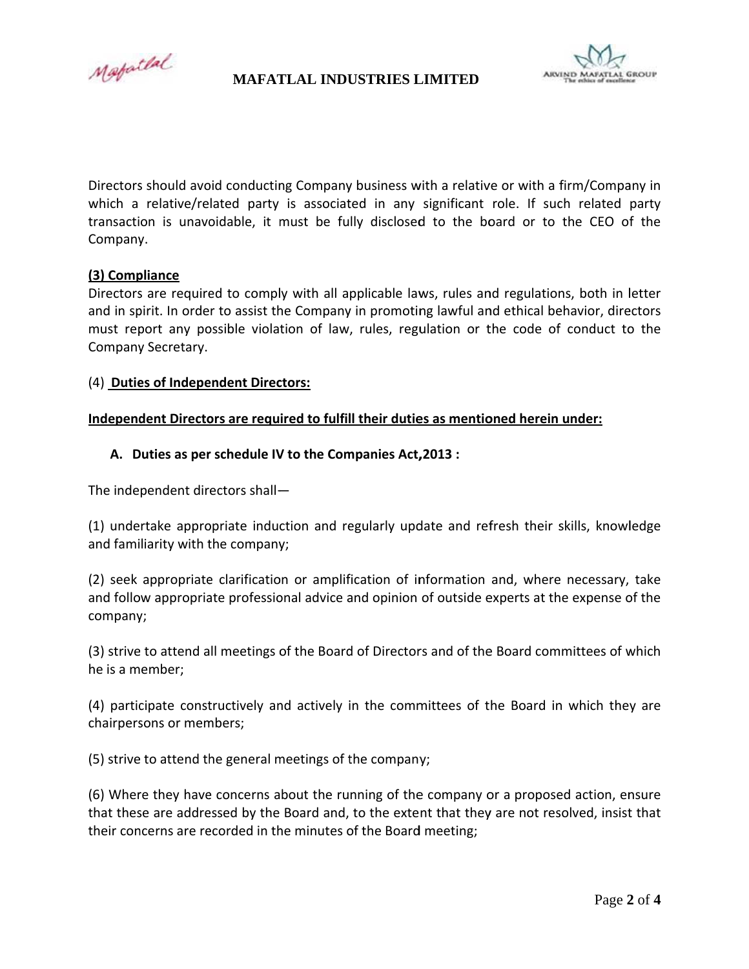Mapatlal



Directors should avoid conducting Company business with a relative or with a firm/Company in which a relative/related party is associated in any significant role. If such related party transaction is unavoidable, it must be fully disclosed to the board or to the CEO of the Company.

# (3) Compliance

Directors are required to comply with all applicable laws, rules and regulations, both in letter and in spirit. In order to assist the Company in promoting lawful and ethical behavior, directors must report any possible violation of law, rules, regulation or the code of conduct to the Company Secretary.

### (4) Duties of Independent Directors:

### Independent Directors are required to fulfill their duties as mentioned herein under:

## A. Duties as per schedule IV to the Companies Act, 2013:

The independent directors shall-

(1) undertake appropriate induction and regularly update and refresh their skills, knowledge and familiarity with the company;

(2) seek appropriate clarification or amplification of information and, where necessary, take and follow appropriate professional advice and opinion of outside experts at the expense of the company;

(3) strive to attend all meetings of the Board of Directors and of the Board committees of which he is a member;

(4) participate constructively and actively in the committees of the Board in which they are chairpersons or members;

(5) strive to attend the general meetings of the company;

(6) Where they have concerns about the running of the company or a proposed action, ensure that these are addressed by the Board and, to the extent that they are not resolved, insist that their concerns are recorded in the minutes of the Board meeting;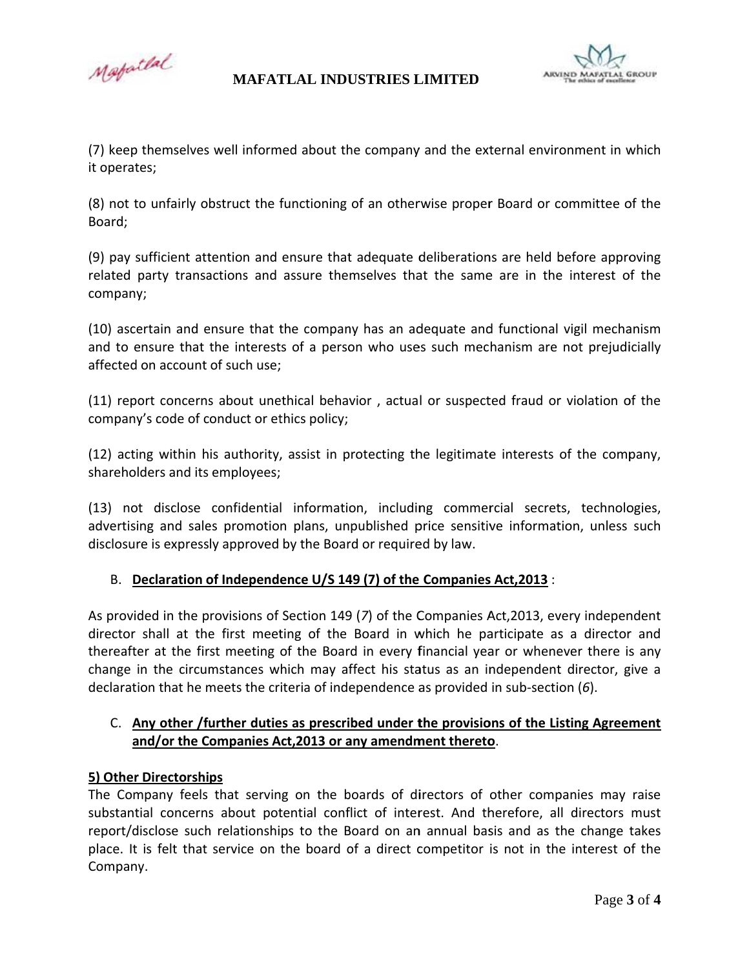Mapatlal



(7) keep themselves well informed about the company and the external environment in which it operates;

(8) not to unfairly obstruct the functioning of an otherwise proper Board or committee of the Board;

(9) pay sufficient attention and ensure that adequate deliberations are held before approving related party transactions and assure themselves that the same are in the interest of the company;

(10) ascertain and ensure that the company has an adequate and functional vigil mechanism and to ensure that the interests of a person who uses such mechanism are not prejudicially affected on account of such use:

(11) report concerns about unethical behavior, actual or suspected fraud or violation of the company's code of conduct or ethics policy;

(12) acting within his authority, assist in protecting the legitimate interests of the company, shareholders and its employees:

(13) not disclose confidential information, including commercial secrets, technologies, advertising and sales promotion plans, unpublished price sensitive information, unless such disclosure is expressly approved by the Board or required by law.

# B. Declaration of Independence U/S 149 (7) of the Companies Act, 2013:

As provided in the provisions of Section 149 (7) of the Companies Act, 2013, every independent director shall at the first meeting of the Board in which he participate as a director and thereafter at the first meeting of the Board in every financial year or whenever there is any change in the circumstances which may affect his status as an independent director, give a declaration that he meets the criteria of independence as provided in sub-section  $(6)$ .

# C. Any other /further duties as prescribed under the provisions of the Listing Agreement and/or the Companies Act, 2013 or any amendment thereto.

# 5) Other Directorships

The Company feels that serving on the boards of directors of other companies may raise substantial concerns about potential conflict of interest. And therefore, all directors must report/disclose such relationships to the Board on an annual basis and as the change takes place. It is felt that service on the board of a direct competitor is not in the interest of the Company.